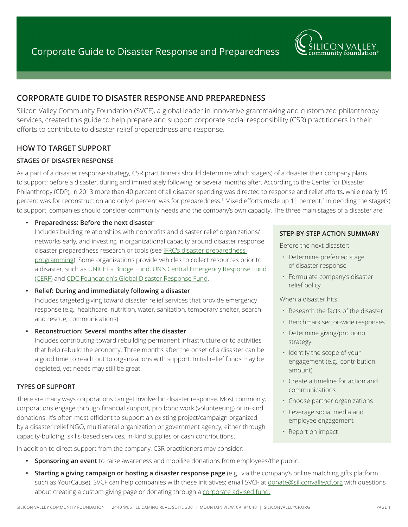

# **CORPORATE GUIDE TO DISASTER RESPONSE AND PREPAREDNESS**

Silicon Valley Community Foundation (SVCF), a global leader in innovative grantmaking and customized philanthropy services, created this guide to help prepare and support corporate social responsibility (CSR) practitioners in their efforts to contribute to disaster relief preparedness and response.

# **HOW TO TARGET SUPPORT**

# **STAGES OF DISASTER RESPONSE**

As a part of a disaster response strategy, CSR practitioners should determine which stage(s) of a disaster their company plans to support: before a disaster, during and immediately following, or several months after. According to the Center for Disaster Philanthropy (CDP), in 2013 more than 40 percent of all disaster spending was directed to response and relief efforts, while nearly 19 percent was for reconstruction and only 4 percent was for preparedness.<sup>1</sup> Mixed efforts made up 11 percent.<sup>2</sup> In deciding the stage(s) to support, companies should consider community needs and the company's own capacity. The three main stages of a disaster are:

### **• Preparedness: Before the next disaster**

Includes building relationships with nonprofits and disaster relief organizations/ networks early, and investing in organizational capacity around disaster response, disaster preparedness research or tools (see IFRC's disaster preparedness [programming](http://www.redcross.org/what-we-do/international-services/disaster-preparedness)). Some organizations provide vehicles to collect resources prior to a disaster, such as [UNICEF's Bridge Fund,](https://www.unicefusa.org/unicef-bridge-fund) [UN's Central Emergency Response Fund](http://www.unocha.org/cerf/about-us/who-we-are)  [\(CERF\)](http://www.unocha.org/cerf/about-us/who-we-are) and [CDC Foundation's Global Disaster Response Fund.](http://www.cdcfoundation.org/globaldisaster)

- **• Relief: During and immediately following a disaster** Includes targeted giving toward disaster relief services that provide emergency response (e.g., healthcare, nutrition, water, sanitation, temporary shelter, search and rescue, communications).
- **• Reconstruction: Several months after the disaster**

Includes contributing toward rebuilding permanent infrastructure or to activities that help rebuild the economy. Three months after the onset of a disaster can be a good time to reach out to organizations with support. Initial relief funds may be depleted, yet needs may still be great.

### **TYPES OF SUPPORT**

There are many ways corporations can get involved in disaster response. Most commonly, corporations engage through financial support, pro bono work (volunteering) or in-kind donations. It's often most efficient to support an existing project/campaign organized by a disaster relief NGO, multilateral organization or government agency, either through capacity-building, skills-based services, in-kind supplies or cash contributions.

In addition to direct support from the company, CSR practitioners may consider:

- **• Sponsoring an event** to raise awareness and mobilize donations from employees/the public.
- **• Starting a giving campaign or hosting a disaster response page** (e.g., via the company's online matching gifts platform such as YourCause). SVCF can help companies with these initiatives; email SVCF at [donate@siliconvalleycf.org](mailto:donate@siliconvalleycf.org) with questions about creating a custom giving page or donating through a [corporate advised fund](http://www.siliconvalleycf.org/corporate-advised-funds).

#### **STEP-BY-STEP ACTION SUMMARY**

Before the next disaster:

- Determine preferred stage of disaster response
- Formulate company's disaster relief policy

When a disaster hits:

- Research the facts of the disaster
- Benchmark sector-wide responses
- Determine giving/pro bono strategy
- Identify the scope of your engagement (e.g., contribution amount)
- Create a timeline for action and communications
- Choose partner organizations
- Leverage social media and employee engagement
- Report on impact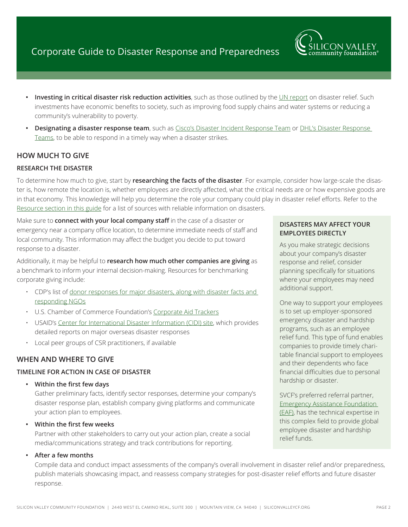

- **Investing in critical disaster risk reduction activities, such as those outlined by the [UN report](http://www.preventionweb.net/posthfa/documents/drreconomicsworkingpaperfinal.pdf) on disaster relief. Such** investments have economic benefits to society, such as improving food supply chains and water systems or reducing a community's vulnerability to poverty.
- **• Designating a disaster response team**, such as [Cisco's Disaster Incident Response Team](http://csr.cisco.com/casestudy/tactical-operations) or [DHL's Disaster Response](http://www.dpdhl.com/en/responsibility/corporate_citizenship/disaster_management/disaster_response_drt.html)  [Teams](http://www.dpdhl.com/en/responsibility/corporate_citizenship/disaster_management/disaster_response_drt.html), to be able to respond in a timely way when a disaster strikes.

# **HOW MUCH TO GIVE**

# **RESEARCH THE DISASTER**

To determine how much to give, start by **researching the facts of the disaster**. For example, consider how large-scale the disaster is, how remote the location is, whether employees are directly affected, what the critical needs are or how expensive goods are in that economy. This knowledge will help you determine the role your company could play in disaster relief efforts. Refer to the [Resource section in this guide](#page-3-0) for a list of sources with reliable information on disasters.

Make sure to **connect with your local company staff** in the case of a disaster or emergency near a company office location, to determine immediate needs of staff and local community. This information may affect the budget you decide to put toward response to a disaster.

Additionally, it may be helpful to **research how much other companies are giving** as a benchmark to inform your internal decision-making. Resources for benchmarking corporate giving include:

- CDP's list of [donor responses for major disasters, along with disaster facts and](http://disasterphilanthropy.org/current-disasters/)  [responding NGOs](http://disasterphilanthropy.org/current-disasters/)
- U.S. Chamber of Commerce Foundation's [Corporate Aid Trackers](http://www.uschamberfoundation.org/corporate-citizenship-center/corporate-aid-trackers)
- USAID's [Center for International Disaster Information \(CIDI\) site,](http://www.cidi.org/disaster-response) which provides detailed reports on major overseas disaster responses
- Local peer groups of CSR practitioners, if available

# **WHEN AND WHERE TO GIVE**

### **TIMELINE FOR ACTION IN CASE OF DISASTER**

**• Within the first few days**

Gather preliminary facts, identify sector responses, determine your company's disaster response plan, establish company giving platforms and communicate your action plan to employees.

**• Within the first few weeks**

Partner with other stakeholders to carry out your action plan, create a social media/communications strategy and track contributions for reporting.

**• After a few months**

Compile data and conduct impact assessments of the company's overall involvement in disaster relief and/or preparedness, publish materials showcasing impact, and reassess company strategies for post-disaster relief efforts and future disaster response.

#### **DISASTERS MAY AFFECT YOUR EMPLOYEES DIRECTLY**

As you make strategic decisions about your company's disaster response and relief, consider planning specifically for situations where your employees may need additional support.

One way to support your employees is to set up employer-sponsored emergency disaster and hardship programs, such as an employee relief fund. This type of fund enables companies to provide timely charitable financial support to employees and their dependents who face financial difficulties due to personal hardship or disaster.

SVCF's preferred referral partner, [Emergency Assistance Foundation](https://emergencyassistancefdn.org/)  [\(EAF\),](https://emergencyassistancefdn.org/) has the technical expertise in this complex field to provide global employee disaster and hardship relief funds.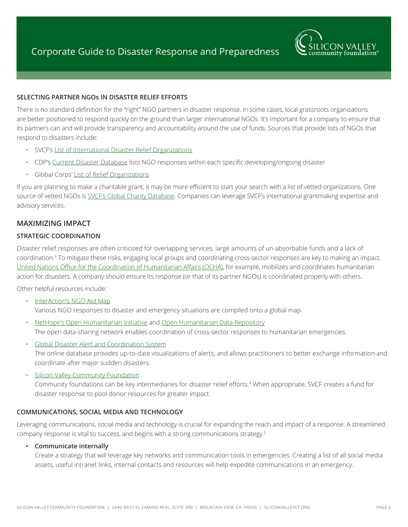

#### **SELECTING PARTNER NGOs IN DISASTER RELIEF EFFORTS**

There is no standard definition for the "right" NGO partners in disaster response. In some cases, local grassroots organizations are better positioned to respond quickly on the ground than larger international NGOs. It's important for a company to ensure that its partners can and will provide transparency and accountability around the use of funds. Sources that provide lists of NGOs that respond to disasters include:

- SVCF's [List of International Disaster Relief Organizations](http://www.siliconvalleycf.org/sites/default/files/documents/csr/international-disaster-relief-organizations.pdf)
- CDP's [Current Disaster Database](http://disasterphilanthropy.org/current-disasters/) lists NGO responses within each specific developing/ongoing disaster
- Global Corps' [List of Relief Organizations](http://www.globalcorps.com/jobs/ngolist.pdf)

If you are planning to make a charitable grant, it may be more efficient to start your search with a list of vetted organizations. One source of vetted NGOs is [SVCF's Global Charity Database.](http://www.siliconvalleycf.org/ngo) Companies can leverage SVCF's international grantmaking expertise and advisory services.

### **MAXIMIZING IMPACT**

#### **STRATEGIC COORDINATION**

Disaster relief responses are often criticized for overlapping services, large amounts of un-absorbable funds and a lack of coordination.<sup>3</sup> To mitigate these risks, engaging local groups and coordinating cross-sector responses are key to making an impact. [United Nations Office for the Coordination of Humanitarian Affairs \(OCHA\)](http://www.unocha.org/about-us/who-we-are), for example, mobilizes and coordinates humanitarian action for disasters. A company should ensure its response (or that of its partner NGOs) is coordinated properly with others.

Other helpful resources include:

- [InterAction's NGO Aid Map](http://www.ngoaidmap.org/) Various NGO responses to disaster and emergency situations are compiled onto a global map.
- [NetHope's Open Humanitarian Initiative](http://ohi.nethope.org/) and [Open Humanitarian Data Repository](http://ohdr.nethope.opendata.arcgis.com) The open data-sharing network enables coordination of cross-sector responses to humanitarian emergencies.
- [Global Disaster Alert and Coordination System](http://www.gdacs.org/) The online database provides up-to-date visualizations of alerts, and allows practitioners to better exchange information and coordinate after major sudden disasters.
- [Silicon Valley Community Foundation](http://www.siliconvalleycf.org/) Community foundations can be key intermediaries for disaster relief efforts.<sup>4</sup> When appropriate, SVCF creates a fund for disaster response to pool donor resources for greater impact.

#### **COMMUNICATIONS, SOCIAL MEDIA AND TECHNOLOGY**

Leveraging communications, social media and technology is crucial for expanding the reach and impact of a response. A streamlined company response is vital to success, and begins with a strong communications strategy.<sup>5</sup>

#### **• Communicate internally**

Create a strategy that will leverage key networks and communication tools in emergencies. Creating a list of all social media assets, useful intranet links, internal contacts and resources will help expedite communications in an emergency.